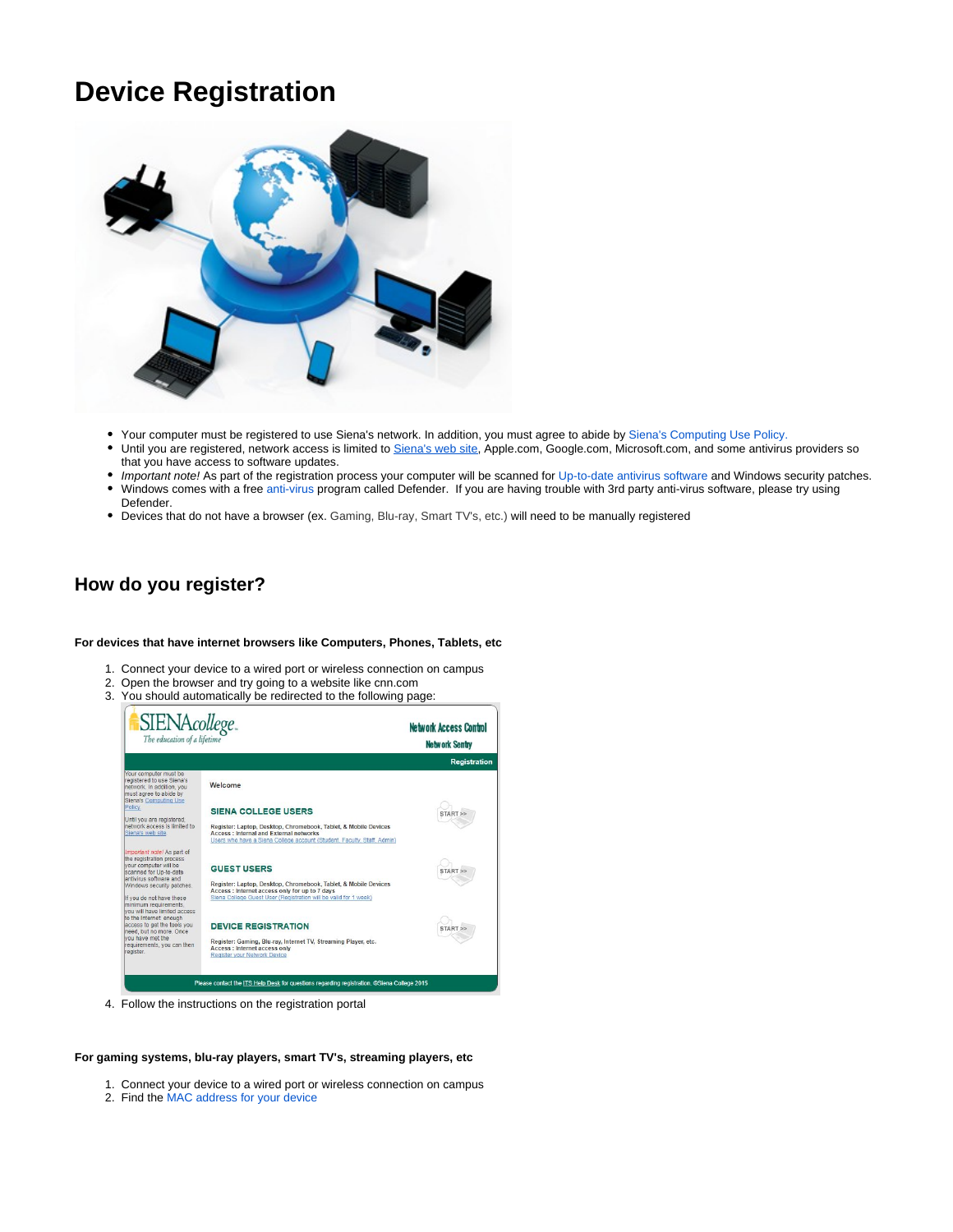## **Device Registration**



- Your computer must be registered to use Siena's network. In addition, you must agree to abide by [Siena's Computing Use Policy.](https://community.siena.edu/assets/file_manager/insecure_file/Computing%20Use%20Policy.pdf)
- Until you are registered, network access is limited to <u>[Siena's web site](https://www.siena.edu/)</u>, Apple.com, Google.com, Microsoft.com, and some antivirus providers so that you have access to software updates.
- Important note! As part of the registration process your computer will be scanned for [Up-to-date antivirus software](https://confluence-its.siena.edu:8443/display/XenFAQ/Antivirus) and Windows security patches.
- $\bullet$ Windows comes with a free [anti-virus](https://confluence-its.siena.edu:8443/display/XenFAQ/Antivirus) program called Defender. If you are having trouble with 3rd party anti-virus software, please try using Defender.
- Devices that do not have a browser (ex. Gaming, Blu-ray, Smart TV's, etc.) will need to be manually registered

## **How do you register?**

## **For devices that have internet browsers like Computers, Phones, Tablets, etc**

- 1. Connect your device to a wired port or wireless connection on campus
- 2. Open the browser and try going to a website like cnn.com
- 3. You should automatically be redirected to the following page:



4. Follow the instructions on the registration portal

## **For gaming systems, blu-ray players, smart TV's, streaming players, etc**

- 1. Connect your device to a wired port or wireless connection on campus
- 2. Find the [MAC address for your device](https://confluence-its.siena.edu:8443/display/XenFAQ/Find+Device+MAC+Address)